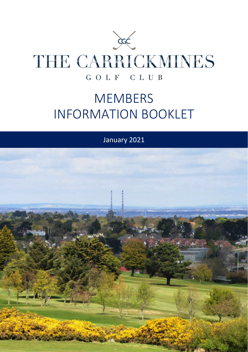

# MEMBERS INFORMATION BOOKLET

January 2021

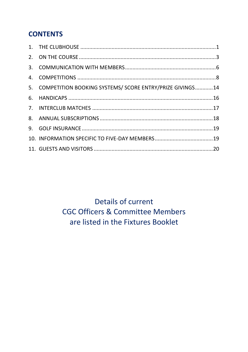## **CONTENTS**

| 5. COMPETITION BOOKING SYSTEMS/ SCORE ENTRY/PRIZE GIVINGS14 |  |
|-------------------------------------------------------------|--|
|                                                             |  |
|                                                             |  |
|                                                             |  |
|                                                             |  |
|                                                             |  |
|                                                             |  |
|                                                             |  |

## Details of current **CGC Officers & Committee Members** are listed in the Fixtures Booklet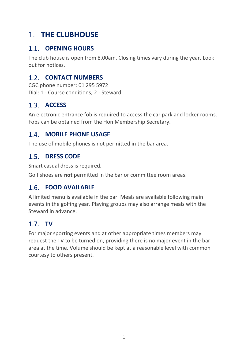## <span id="page-2-0"></span>**1. THE CLUBHOUSE**

## **OPENING HOURS**

The club house is open from 8.00am. Closing times vary during the year. Look out for notices.

## **1.2. CONTACT NUMBERS**

CGC phone number: 01 295 5972 Dial: 1 - Course conditions; 2 - Steward.

## **ACCESS**

An electronic entrance fob is required to access the car park and locker rooms. Fobs can be obtained from the Hon Membership Secretary.

## **MOBILE PHONE USAGE**

The use of mobile phones is not permitted in the bar area.

## 1.5. **DRESS CODE**

Smart casual dress is required.

Golf shoes are **not** permitted in the bar or committee room areas.

## **FOOD AVAILABLE**

A limited menu is available in the bar. Meals are available following main events in the golfing year. Playing groups may also arrange meals with the Steward in advance.

## 1.7 TV

For major sporting events and at other appropriate times members may request the TV to be turned on, providing there is no major event in the bar area at the time. Volume should be kept at a reasonable level with common courtesy to others present.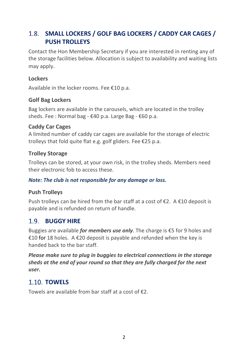## **SMALL LOCKERS / GOLF BAG LOCKERS / CADDY CAR CAGES / PUSH TROLLEYS**

Contact the Hon Membership Secretary if you are interested in renting any of the storage facilities below. Allocation is subject to availability and waiting lists may apply.

## **Lockers**

Available in the locker rooms. Fee €10 p.a.

## **Golf Bag Lockers**

Bag lockers are available in the carousels, which are located in the trolley sheds. Fee : Normal bag - €40 p.a. Large Bag - €60 p.a.

## **Caddy Car Cages**

A limited number of caddy car cages are available for the storage of electric trolleys that fold quite flat e.g. golf gliders. Fee €25 p.a.

## **Trolley Storage**

Trolleys can be stored, at your own risk, in the trolley sheds. Members need their electronic fob to access these.

### *Note: The club is not responsible for any damage or loss.*

## **Push Trolleys**

Push trollevs can be hired from the bar staff at a cost of  $\epsilon$ 2. A  $\epsilon$ 10 deposit is payable and is refunded on return of handle.

## **BUGGY HIRE**

Buggies are available *for members use only*. The charge is €5 for 9 holes and €10 for 18 holes. A €20 deposit is payable and refunded when the key is handed back to the bar staff.

*Please make sure to plug in buggies to electrical connections in the storage sheds at the end of your round so that they are fully charged for the next user.* 

## **1.10. TOWELS**

Towels are available from har staff at a cost of  $f$ 2.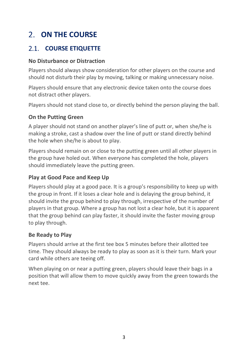## <span id="page-4-0"></span>**ON THE COURSE**

## **COURSE ETIQUETTE**

## **No Disturbance or Distraction**

Players should always show consideration for other players on the course and should not disturb their play by moving, talking or making unnecessary noise.

Players should ensure that any electronic device taken onto the course does not distract other players.

Players should not stand close to, or directly behind the person playing the ball.

## **On the Putting Green**

A player should not stand on another player's line of putt or, when she/he is making a stroke, cast a shadow over the line of putt or stand directly behind the hole when she/he is about to play.

Players should remain on or close to the putting green until all other players in the group have holed out. When everyone has completed the hole, players should immediately leave the putting green.

## **Play at Good Pace and Keep Up**

Players should play at a good pace. It is a group's responsibility to keep up with the group in front. If it loses a clear hole and is delaying the group behind, it should invite the group behind to play through, irrespective of the number of players in that group. Where a group has not lost a clear hole, but it is apparent that the group behind can play faster, it should invite the faster moving group to play through.

## **Be Ready to Play**

Players should arrive at the first tee box 5 minutes before their allotted tee time. They should always be ready to play as soon as it is their turn. Mark your card while others are teeing off.

When playing on or near a putting green, players should leave their bags in a position that will allow them to move quickly away from the green towards the next tee.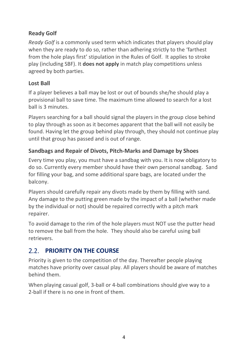## **Ready Golf**

*Ready Golf* is a commonly used term which indicates that players should play when they are ready to do so, rather than adhering strictly to the 'farthest from the hole plays first' stipulation in the Rules of Golf. It applies to stroke play (including SBF). It **does not apply** in match play competitions unless agreed by both parties.

## **Lost Ball**

If a player believes a ball may be lost or out of bounds she/he should play a provisional ball to save time. The maximum time allowed to search for a lost ball is 3 minutes.

Players searching for a ball should signal the players in the group close behind to play through as soon as it becomes apparent that the ball will not easily be found. Having let the group behind play through, they should not continue play until that group has passed and is out of range.

## **Sandbags and Repair of Divots, Pitch-Marks and Damage by Shoes**

Every time you play, you must have a sandbag with you. It is now obligatory to do so. Currently every member should have their own personal sandbag. Sand for filling your bag, and some additional spare bags, are located under the balcony.

Players should carefully repair any divots made by them by filling with sand. Any damage to the putting green made by the impact of a ball (whether made by the individual or not) should be repaired correctly with a pitch mark repairer.

To avoid damage to the rim of the hole players must NOT use the putter head to remove the ball from the hole. They should also be careful using ball retrievers.

## **PRIORITY ON THE COURSE**

Priority is given to the competition of the day. Thereafter people playing matches have priority over casual play. All players should be aware of matches behind them.

When playing casual golf, 3-ball or 4-ball combinations should give way to a 2-ball if there is no one in front of them.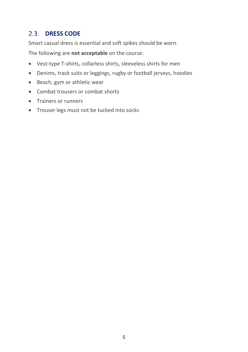## 2.3. **DRESS CODE**

Smart casual dress is essential and soft spikes should be worn.

The following are **not acceptable** on the course:

- Vest-type T-shirts, collarless shirts, sleeveless shirts for men
- Denims, track suits or leggings, rugby or football jerseys, hoodies
- Beach, gym or athletic wear
- Combat trousers or combat shorts
- Trainers or runners
- Trouser legs must not be tucked into socks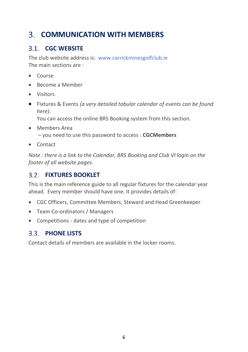## <span id="page-7-0"></span>**COMMUNICATION WITH MEMBERS**

## **CGC WEBSITE**

The club website address is: [www.carrickminesgolfclub.ie](http://www.carrickminesgolfclub.ie/) The main sections are :

- Course
- Become a Member
- Visitors
- Fixtures & Events *(a very detailed tabular calendar of events can be found here).*

You can access the online BRS Booking system from this section.

- Members Area – you need to use this password to access : **CGCMembers**
- Contact

*Note : there is a link to the Calendar, BRS Booking and Club VI login on the footer of all website pages.*

## **FIXTURES BOOKLET**

This is the main reference guide to all regular fixtures for the calendar year ahead. Every member should have one. It provides details of:

- CGC Officers, Committee Members, Steward and Head Greenkeeper
- Team Co-ordinators / Managers
- Competitions dates and type of competition

## **PHONE LISTS**

Contact details of members are available in the locker rooms.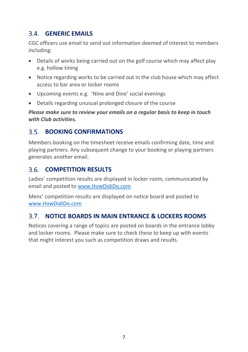## **GENERIC EMAILS**

CGC officers use email to send out information deemed of interest to members including:

- Details of works being carried out on the golf course which may affect play e.g. hollow tining
- Notice regarding works to be carried out in the club house which may affect access to bar area or locker rooms
- Upcoming events e.g. 'Nine and Dine' social evenings
- Details regarding unusual prolonged closure of the course

*Please make sure to review your emails on a regular basis to keep in touch with Club activities.*

## **BOOKING CONFIRMATIONS**

Members booking on the timesheet receive emails confirming date, time and playing partners. Any subsequent change to your booking or playing partners generates another email.

## **COMPETITION RESULTS**

Ladies' competition results are displayed in locker room, communicated by email and posted to [www.HowDidiDo.com](http://www.howdidido.com/)

Mens' competition results are displayed on notice board and posted to [www.HowDidiDo.com](http://www.howdidido.com/)

## **NOTICE BOARDS IN MAIN ENTRANCE & LOCKERS ROOMS**

Notices covering a range of topics are posted on boards in the entrance lobby and locker rooms. Please make sure to check these to keep up with events that might interest you such as competition draws and results.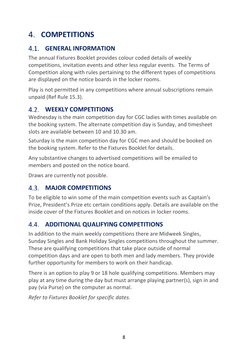## <span id="page-9-0"></span>**COMPETITIONS**

## **GENERAL INFORMATION**

The annual Fixtures Booklet provides colour coded details of weekly competitions, invitation events and other less regular events. The Terms of Competition along with rules pertaining to the different types of competitions are displayed on the notice boards in the locker rooms.

Play is not permitted in any competitions where annual subscriptions remain unpaid (Ref Rule 15.3).

## **WEEKLY COMPETITIONS**

Wednesday is the main competition day for CGC ladies with times available on the booking system. The alternate competition day is Sunday, and timesheet slots are available between 10 and 10.30 am.

Saturday is the main competition day for CGC men and should be booked on the booking system. Refer to the Fixtures Booklet for details.

Any substantive changes to advertised competitions will be emailed to members and posted on the notice board.

Draws are currently not possible.

## **MAJOR COMPETITIONS**

To be eligible to win some of the main competition events such as Captain's Prize, President's Prize etc certain conditions apply. Details are available on the inside cover of the Fixtures Booklet and on notices in locker rooms.

## **4.4. ADDITIONAL QUALIFYING COMPETITIONS**

In addition to the main weekly competitions there are Midweek Singles, Sunday Singles and Bank Holiday Singles competitions throughout the summer. These are qualifying competitions that take place outside of normal competition days and are open to both men and lady members. They provide further opportunity for members to work on their handicap.

There is an option to play 9 or 18 hole qualifying competitions. Members may play at any time during the day but must arrange playing partner(s), sign in and pay (via Purse) on the computer as normal.

*Refer to Fixtures Booklet for specific dates.*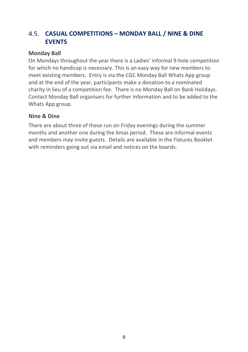## **CASUAL COMPETITIONS – MONDAY BALL / NINE & DINE EVENTS**

### **Monday Ball**

On Mondays throughout the year there is a Ladies' informal 9-hole competition for which no handicap is necessary. This is an easy way for new members to meet existing members. Entry is via the CGC Monday Ball Whats App group and at the end of the year, participants make a donation to a nominated charity in lieu of a competition fee. There is no Monday Ball on Bank Holidays. Contact Monday Ball organisers for further information and to be added to the Whats App group.

## **Nine & Dine**

There are about three of these run on Friday evenings during the summer months and another one during the Xmas period. These are informal events and members may invite guests. Details are available in the Fixtures Booklet with reminders going out via email and notices on the boards.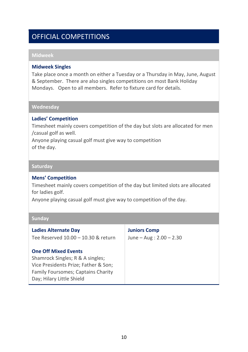## OFFICIAL COMPETITIONS

#### **Midweek**

#### **Midweek Singles**

Take place once a month on either a Tuesday or a Thursday in May, June, August & September. There are also singles competitions on most Bank Holiday Mondays. Open to all members. Refer to fixture card for details.

#### **Wednesday**

#### **Ladies' Competition**

Timesheet mainly covers competition of the day but slots are allocated for men /casual golf as well.

Anyone playing casual golf must give way to competition of the day.

#### **Saturday**

#### **Mens' Competition**

Timesheet mainly covers competition of the day but limited slots are allocated for ladies golf.

Anyone playing casual golf must give way to competition of the day.

| <b>Ladies Alternate Day</b>                                                                                                                                                       | <b>Juniors Comp</b>          |
|-----------------------------------------------------------------------------------------------------------------------------------------------------------------------------------|------------------------------|
| Tee Reserved 10.00 - 10.30 & return                                                                                                                                               | June $-$ Aug : 2.00 $-$ 2.30 |
| <b>One Off Mixed Events</b><br>Shamrock Singles; R & A singles;<br>Vice Presidents Prize; Father & Son;<br><b>Family Foursomes: Captains Charity</b><br>Day; Hilary Little Shield |                              |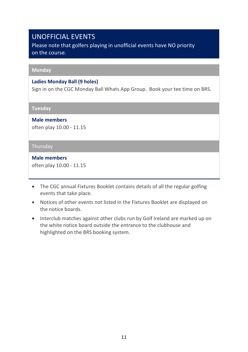## UNOFFICIAL EVENTS

Please note that golfers playing in unofficial events have NO priority on the course.

#### **Monday**

#### **Ladies Monday Ball (9 holes)**

Sign in on the CGC Monday Ball Whats App Group. Book your tee time on BRS.

**Tuesday**

**Male members** 

often play 10.00 - 11.15

#### **Thursday**

**Male members** 

often play 10.00 - 11.15

- The CGC annual Fixtures Booklet contains details of all the regular golfing events that take place.
- Notices of other events not listed in the Fixtures Booklet are displayed on the notice boards.
- Interclub matches against other clubs run by Golf Ireland are marked up on the white notice board outside the entrance to the clubhouse and highlighted on the BRS booking system.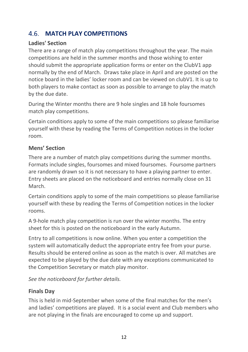## **MATCH PLAY COMPETITIONS**

## **Ladies' Section**

There are a range of match play competitions throughout the year. The main competitions are held in the summer months and those wishing to enter should submit the appropriate application forms or enter on the ClubV1 app normally by the end of March. Draws take place in April and are posted on the notice board in the ladies' locker room and can be viewed on clubV1. It is up to both players to make contact as soon as possible to arrange to play the match by the due date.

During the Winter months there are 9 hole singles and 18 hole foursomes match play competitions.

Certain conditions apply to some of the main competitions so please familiarise yourself with these by reading the Terms of Competition notices in the locker room.

## **Mens' Section**

There are a number of match play competitions during the summer months. Formats include singles, foursomes and mixed foursomes. Foursome partners are randomly drawn so it is not necessary to have a playing partner to enter. Entry sheets are placed on the noticeboard and entries normally close on 31 March.

Certain conditions apply to some of the main competitions so please familiarise yourself with these by reading the Terms of Competition notices in the locker rooms.

A 9-hole match play competition is run over the winter months. The entry sheet for this is posted on the noticeboard in the early Autumn.

Entry to all competitions is now online. When you enter a competition the system will automatically deduct the appropriate entry fee from your purse. Results should be entered online as soon as the match is over. All matches are expected to be played by the due date with any exceptions communicated to the Competition Secretary or match play monitor.

*See the noticeboard for further details.*

## **Finals Day**

This is held in mid-September when some of the final matches for the men's and ladies' competitions are played. It is a social event and Club members who are not playing in the finals are encouraged to come up and support.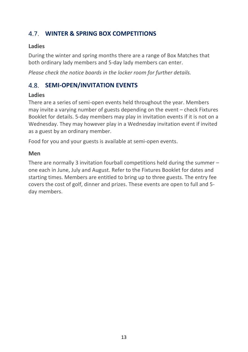## **WINTER & SPRING BOX COMPETITIONS**

## **Ladies**

During the winter and spring months there are a range of Box Matches that both ordinary lady members and 5-day lady members can enter.

*Please check the notice boards in the locker room for further details.*

## **SEMI-OPEN/INVITATION EVENTS**

## **Ladies**

There are a series of semi-open events held throughout the year. Members may invite a varying number of guests depending on the event – check Fixtures Booklet for details. 5-day members may play in invitation events if it is not on a Wednesday. They may however play in a Wednesday invitation event if invited as a guest by an ordinary member.

Food for you and your guests is available at semi-open events.

### **Men**

There are normally 3 invitation fourball competitions held during the summer – one each in June, July and August. Refer to the Fixtures Booklet for dates and starting times. Members are entitled to bring up to three guests. The entry fee covers the cost of golf, dinner and prizes. These events are open to full and 5 day members.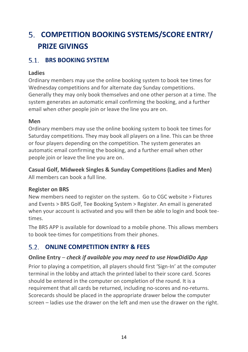## <span id="page-15-0"></span>**COMPETITION BOOKING SYSTEMS/SCORE ENTRY/ PRIZE GIVINGS**

## **BRS BOOKING SYSTEM**

## **Ladies**

Ordinary members may use the online booking system to book tee times for Wednesday competitions and for alternate day Sunday competitions. Generally they may only book themselves and one other person at a time. The system generates an automatic email confirming the booking, and a further email when other people join or leave the line you are on.

## **Men**

Ordinary members may use the online booking system to book tee times for Saturday competitions. They may book all players on a line. This can be three or four players depending on the competition. The system generates an automatic email confirming the booking, and a further email when other people join or leave the line you are on.

**Casual Golf, Midweek Singles & Sunday Competitions (Ladies and Men)** All members can book a full line.

## **Register on BRS**

New members need to register on the system. Go to CGC website > Fixtures and Events > BRS Golf, Tee Booking System > Register. An email is generated when your account is activated and you will then be able to login and book teetimes.

The BRS APP is available for download to a mobile phone. This allows members to book tee-times for competitions from their phones.

## **ONLINE COMPETITION ENTRY & FEES**

## **Online Entry** *– check if available you may need to use HowDidiDo App*

Prior to playing a competition, all players should first 'Sign-In' at the computer terminal in the lobby and attach the printed label to their score card. Scores should be entered in the computer on completion of the round. It is a requirement that all cards be returned, including no-scores and no-returns. Scorecards should be placed in the appropriate drawer below the computer screen – ladies use the drawer on the left and men use the drawer on the right.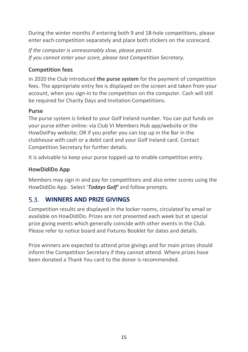During the winter months if entering both 9 and 18-hole competitions, please enter each competition separately and place both stickers on the scorecard.

*If the computer is unreasonably slow, please persist. If you cannot enter your score, please text Competition Secretary.* 

## **Competition fees**

In 2020 the Club introduced **the purse system** for the payment of competition fees. The appropriate entry fee is displayed on the screen and taken from your account, when you sign-in to the competition on the computer. Cash will still be required for Charity Days and Invitation Competitions.

### **Purse**

The purse system is linked to your Golf Ireland number. You can put funds on your purse either online: via Club VI Members Hub app/website or the HowDoiPay website; OR if you prefer you can top up in the Bar in the clubhouse with cash or a debit card and your Golf Ireland card. Contact Competition Secretary for further details.

It is advisable to keep your purse topped up to enable competition entry.

## **HowDidiDo App**

Members may sign in and pay for competitions and also enter scores using the HowDidiDo App. Select '*Todays Golf'* and follow prompts.

## **WINNERS AND PRIZE GIVINGS**

Competition results are displayed in the locker rooms, circulated by email or available on HowDidiDo. Prizes are not presented each week but at special prize giving events which generally coincide with other events in the Club. Please refer to notice board and Fixtures Booklet for dates and details.

Prize winners are expected to attend prize givings and for main prizes should inform the Competition Secretary if they cannot attend. Where prizes have been donated a Thank You card to the donor is recommended.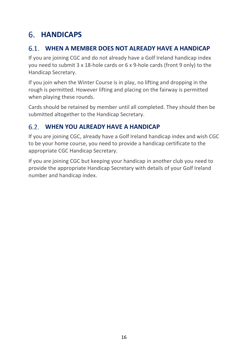## <span id="page-17-0"></span>**HANDICAPS**

## **WHEN A MEMBER DOES NOT ALREADY HAVE A HANDICAP**

If you are joining CGC and do not already have a Golf Ireland handicap index you need to submit 3 x 18-hole cards or 6 x 9-hole cards (front 9 only) to the Handicap Secretary.

If you join when the Winter Course is in play, no lifting and dropping in the rough is permitted. However lifting and placing on the fairway is permitted when playing these rounds.

Cards should be retained by member until all completed. They should then be submitted altogether to the Handicap Secretary.

## **WHEN YOU ALREADY HAVE A HANDICAP**

If you are joining CGC, already have a Golf Ireland handicap index and wish CGC to be your home course, you need to provide a handicap certificate to the appropriate CGC Handicap Secretary.

If you are joining CGC but keeping your handicap in another club you need to provide the appropriate Handicap Secretary with details of your Golf Ireland number and handicap index.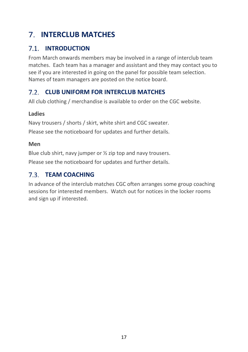## <span id="page-18-0"></span>**INTERCLUB MATCHES**

## **INTRODUCTION**

From March onwards members may be involved in a range of interclub team matches. Each team has a manager and assistant and they may contact you to see if you are interested in going on the panel for possible team selection. Names of team managers are posted on the notice board.

## **CLUB UNIFORM FOR INTERCLUB MATCHES**

All club clothing / merchandise is available to order on the CGC website.

## **Ladies**

Navy trousers / shorts / skirt, white shirt and CGC sweater.

Please see the noticeboard for updates and further details.

## **Men**

Blue club shirt, navy jumper or  $\frac{1}{2}$  zip top and navy trousers. Please see the noticeboard for updates and further details.

## **7.3 TEAM COACHING**

In advance of the interclub matches CGC often arranges some group coaching sessions for interested members. Watch out for notices in the locker rooms and sign up if interested.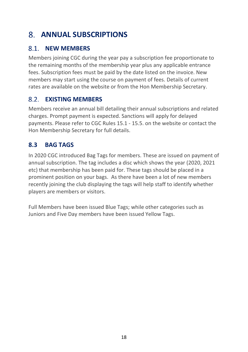## <span id="page-19-0"></span>**ANNUAL SUBSCRIPTIONS**

## **8.1 NEW MEMBERS**

Members joining CGC during the year pay a subscription fee proportionate to the remaining months of the membership year plus any applicable entrance fees. Subscription fees must be paid by the date listed on the invoice. New members may start using the course on payment of fees. Details of current rates are available on the website or from the Hon Membership Secretary.

#### **EXISTING MEMBERS**   $8.2$

Members receive an annual bill detailing their annual subscriptions and related charges. Prompt payment is expected. Sanctions will apply for delayed payments. Please refer to CGC Rules 15.1 - 15.5. on the website or contact the Hon Membership Secretary for full details.

## **8.3 BAG TAGS**

In 2020 CGC introduced Bag Tags for members. These are issued on payment of annual subscription. The tag includes a disc which shows the year (2020, 2021 etc) that membership has been paid for. These tags should be placed in a prominent position on your bags. As there have been a lot of new members recently joining the club displaying the tags will help staff to identify whether players are members or visitors.

Full Members have been issued Blue Tags; while other categories such as Juniors and Five Day members have been issued Yellow Tags.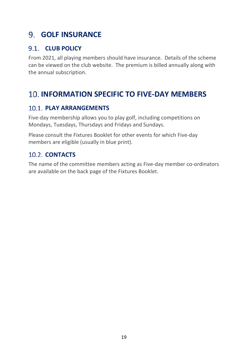## <span id="page-20-0"></span>**GOLF INSURANCE**

## **CLUB POLICY**

From 2021, all playing members should have insurance. Details of the scheme can be viewed on the club website. The premium is billed annually along with the annual subscription.

## <span id="page-20-1"></span>**INFORMATION SPECIFIC TO FIVE-DAY MEMBERS**

## **PLAY ARRANGEMENTS**

Five-day membership allows you to play golf, including competitions on Mondays, Tuesdays, Thursdays and Fridays and Sundays.

Please consult the Fixtures Booklet for other events for which Five-day members are eligible (usually in blue print).

## 10.2. **CONTACTS**

<span id="page-20-2"></span>The name of the committee members acting as Five-day member co-ordinators are available on the back page of the Fixtures Booklet.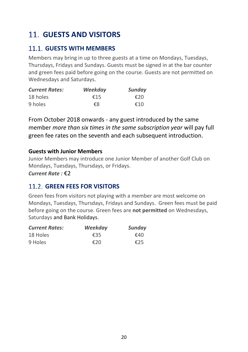## **GUESTS AND VISITORS**

## **GUESTS WITH MEMBERS**

Members may bring in up to three guests at a time on Mondays, Tuesdays, Thursdays, Fridays and Sundays. Guests must be signed in at the bar counter and green fees paid before going on the course. Guests are not permitted on Wednesdays and Saturdays.

| <b>Current Rates:</b> | Weekday | Sunday |
|-----------------------|---------|--------|
| 18 holes              | €15     | €20    |
| 9 holes               | €8      | €10    |

From October 2018 onwards - any guest introduced by the same member *more than six times in the same subscription year* will pay full green fee rates on the seventh and each subsequent introduction.

## **Guests with Junior Members**

Junior Members may introduce one Junior Member of another Golf Club on Mondays, Tuesdays, Thursdays, or Fridays.

*Current Rate :* €2

## **GREEN FEES FOR VISITORS**

Green fees from visitors not playing with a member are most welcome on Mondays, Tuesdays, Thursdays, Fridays and Sundays. Green fees must be paid before going on the course. Green fees are **not permitted** on Wednesdays, Saturdays and Bank Holidays.

| <b>Current Rates:</b> | Weekday | Sunday |
|-----------------------|---------|--------|
| 18 Holes              | €35     | €40    |
| 9 Holes               | €20     | €25    |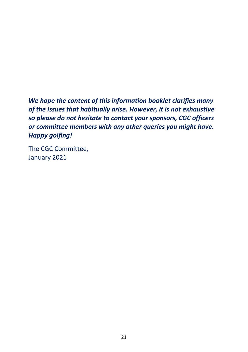*We hope the content of this information booklet clarifies many of the issues that habitually arise. However, it is not exhaustive so please do not hesitate to contact your sponsors, CGC officers or committee members with any other queries you might have. Happy golfing!*

The CGC Committee, January 2021